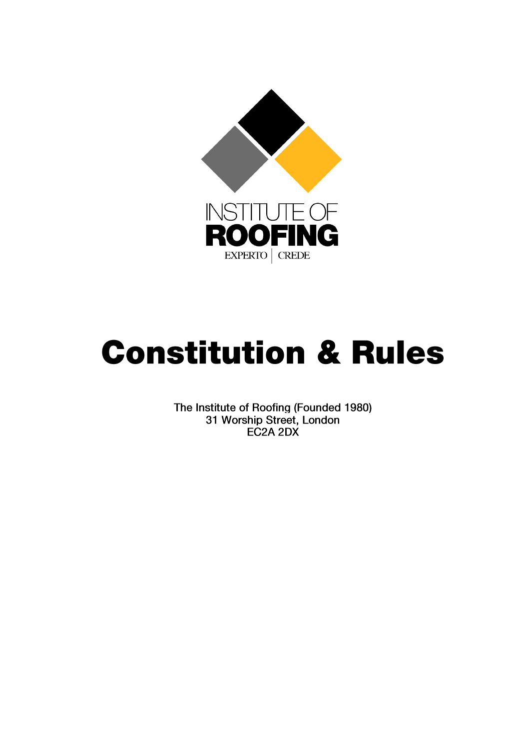

# **Constitution & Rules**

The Institute of Roofing (Founded 1980) 31 Worship Street, London EC2A 2DX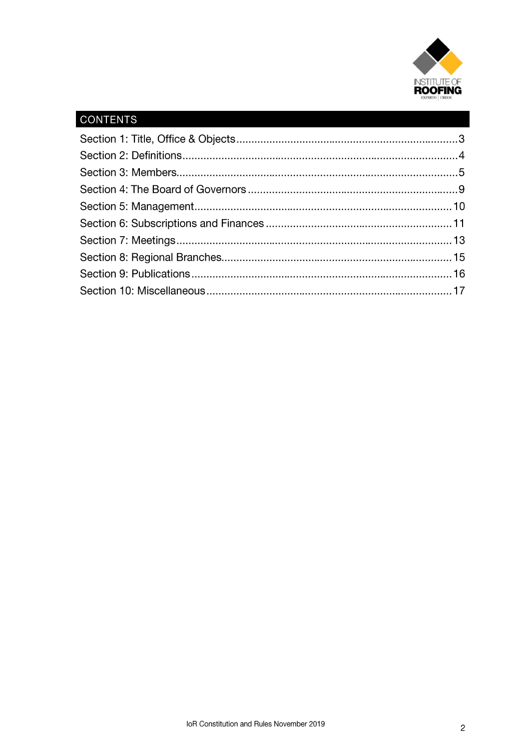

# CONTENTS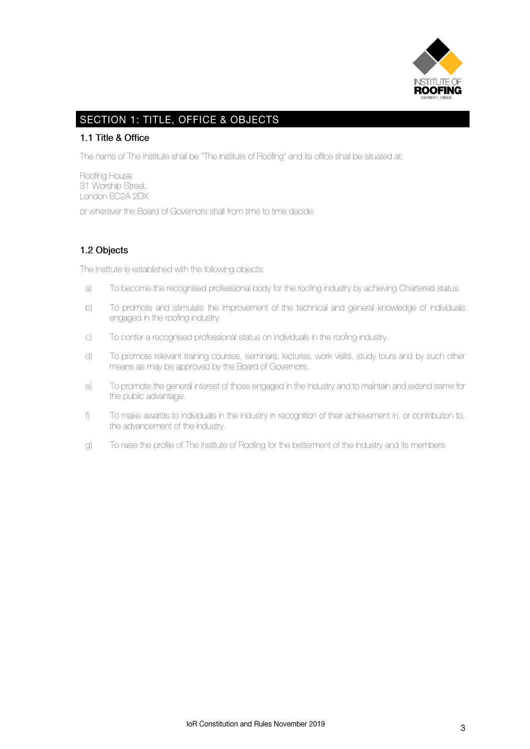

# **SECTION 1: TITLE, OFFICE & OBJECTS**

#### 1.1 Title & Office

The name of The Institute shall be "The Institute of Roofing" and its office shall be situated at:

Roofing House 31 Worship Street. London EC2A 2DX

or wherever the Board of Governors shall from time to time decide.

## 1.2 Objects

The Institute is established with the following objects:

- a) To become the recognised professional body for the roofing industry by achieving Chartered status.
- b) To promote and stimulate the improvement of the technical and general knowledge of individuals engaged in the roofing industry.
- c) To confer a recognised professional status on individuals in the roofing industry.
- d) To promote relevant training courses, seminars, lectures, work visits, study tours and by such other means as may be approved by the Board of Governors.
- e) To promote the general interest of those engaged in the Industry and to maintain and extend same for the public advantage.
- f) To make awards to individuals in the industry in recognition of their achievement in, or contribution to, the advancement of the industry.
- g) To raise the profile of The Institute of Roofing for the betterment of the industry and its members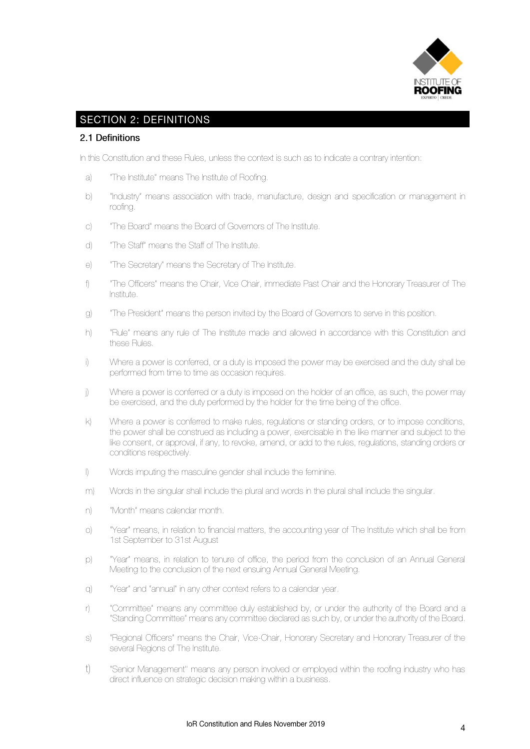

# **SECTION 2: DEFINITIONS**

#### 2.1 Definitions

In this Constitution and these Rules, unless the context is such as to indicate a contrary intention:

- a) "The Institute" means The Institute of Roofing.
- b) "Industry" means association with trade, manufacture, design and specification or management in roofing.
- c) "The Board" means the Board of Governors of The Institute.
- d) "The Staff" means the Staff of The Institute.
- e) "The Secretary" means the Secretary of The Institute.
- f) "The Officers" means the Chair, Vice Chair, immediate Past Chair and the Honorary Treasurer of The Institute.
- g) "The President" means the person invited by the Board of Governors to serve in this position.
- h) "Rule" means any rule of The Institute made and allowed in accordance with this Constitution and these Rules.
- i) Where a power is conferred, or a duty is imposed the power may be exercised and the duty shall be performed from time to time as occasion requires.
- j) Where a power is conferred or a duty is imposed on the holder of an office, as such, the power may be exercised, and the duty performed by the holder for the time being of the office.
- k) Where a power is conferred to make rules, regulations or standing orders, or to impose conditions, the power shall be construed as including a power, exercisable in the like manner and subject to the like consent, or approval, if any, to revoke, amend, or add to the rules, regulations, standing orders or conditions respectively.
- l) Words imputing the masculine gender shall include the feminine.
- m) Words in the singular shall include the plural and words in the plural shall include the singular.
- n) "Month" means calendar month.
- o) "Year" means, in relation to financial matters, the accounting year of The Institute which shall be from 1st September to 31st August
- p) "Year" means, in relation to tenure of office, the period from the conclusion of an Annual General Meeting to the conclusion of the next ensuing Annual General Meeting.
- q) "Year" and "annual" in any other context refers to a calendar year.
- r) "Committee" means any committee duly established by, or under the authority of the Board and a "Standing Committee" means any committee declared as such by, or under the authority of the Board.
- s) "Regional Officers" means the Chair, Vice-Chair, Honorary Secretary and Honorary Treasurer of the several Regions of The Institute.
- t) "Senior Management'' means any person involved or employed within the roofing industry who has direct influence on strategic decision making within a business.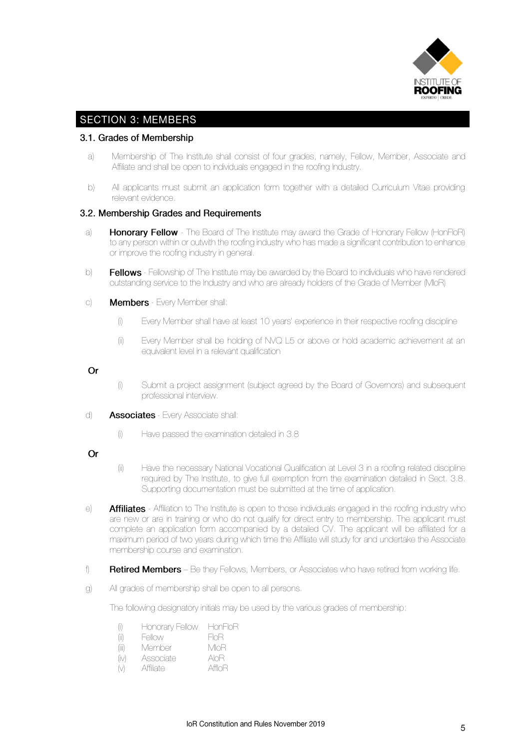

## **SECTION 3: MEMBERS**

#### 3.1. Grades of Membership

- a) Membership of The Institute shall consist of four grades, namely, Fellow, Member, Associate and Affiliate and shall be open to individuals engaged in the roofing Industry.
- b) All applicants must submit an application form together with a detailed Curriculum Vitae providing relevant evidence.

#### 3.2. Membership Grades and Requirements

- a) **Honorary Fellow** The Board of The Institute may award the Grade of Honorary Fellow (HonFIoR) to any person within or outwith the roofing industry who has made a significant contribution to enhance or improve the roofing industry in general.
- b) **Fellows** Fellowship of The Institute may be awarded by the Board to individuals who have rendered outstanding service to the Industry and who are already holders of the Grade of Member (MIoR)
- c) **Members** Every Member shall:
	- (i) Every Member shall have at least 10 years' experience in their respective roofing discipline
	- (ii) Every Member shall be holding of NVQ L5 or above or hold academic achievement at an equivalent level in a relevant qualification

#### $\Omega$ r

- (i) Submit a project assignment (subject agreed by the Board of Governors) and subsequent professional interview.
- d) **Associates** Every Associate shall:
	- (i) Have passed the examination detailed in 3.8

#### Or

- (ii) Have the necessary National Vocational Qualification at Level 3 in a roofing related discipline required by The Institute, to give full exemption from the examination detailed in Sect. 3.8. Supporting documentation must be submitted at the time of application.
- e) Affiliates Affiliation to The Institute is open to those individuals engaged in the roofing industry who are new or are in training or who do not qualify for direct entry to membership. The applicant must complete an application form accompanied by a detailed CV. The applicant will be affiliated for a maximum period of two years during which time the Affiliate will study for and undertake the Associate membership course and examination.
- f) **Retired Members** Be they Fellows, Members, or Associates who have retired from working life.
- g) All grades of membership shall be open to all persons.

The following designatory initials may be used by the various grades of membership:

- (i) Honorary Fellow HonFIoR
- (ii) Fellow FIoR
- (iii) Member MIoR<br>(iv) Associate AIoR
- (iv) Associate
- (v) Affiliate AffIoR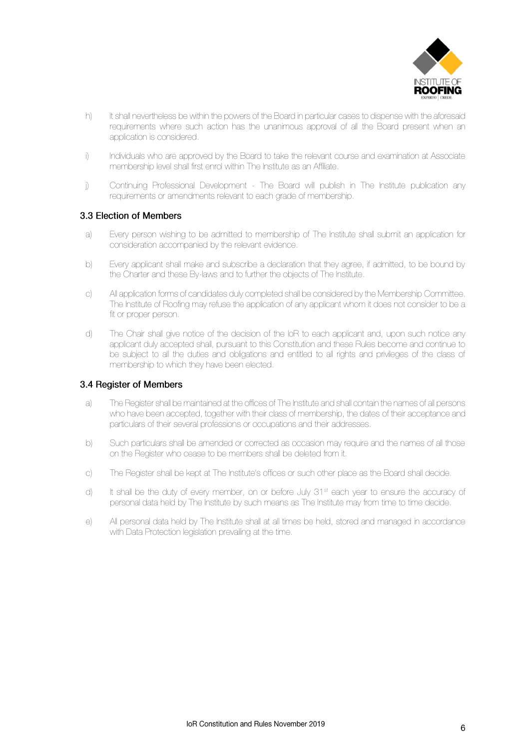

- h) It shall nevertheless be within the powers of the Board in particular cases to dispense with the aforesaid requirements where such action has the unanimous approval of all the Board present when an application is considered.
- i) Individuals who are approved by the Board to take the relevant course and examination at Associate membership level shall first enrol within The Institute as an Affiliate.
- j) Continuing Professional Development The Board will publish in The Institute publication any requirements or amendments relevant to each grade of membership.

#### 3.3 Flection of Members

- a) Every person wishing to be admitted to membership of The Institute shall submit an application for consideration accompanied by the relevant evidence.
- b) Every applicant shall make and subscribe a declaration that they agree, if admitted, to be bound by the Charter and these By-laws and to further the objects of The Institute.
- c) All application forms of candidates duly completed shall be considered by the Membership Committee. The Institute of Roofing may refuse the application of any applicant whom it does not consider to be a fit or proper person.
- d) The Chair shall give notice of the decision of the IoR to each applicant and, upon such notice any applicant duly accepted shall, pursuant to this Constitution and these Rules become and continue to be subject to all the duties and obligations and entitled to all rights and privileges of the class of membership to which they have been elected.

#### 3.4 Register of Members

- a) The Register shall be maintained at the offices of The Institute and shall contain the names of all persons who have been accepted, together with their class of membership, the dates of their acceptance and particulars of their several professions or occupations and their addresses.
- b) Such particulars shall be amended or corrected as occasion may require and the names of all those on the Register who cease to be members shall be deleted from it.
- c) The Register shall be kept at The Institute's offices or such other place as the Board shall decide.
- d) It shall be the duty of every member, on or before July  $31<sup>st</sup>$  each year to ensure the accuracy of personal data held by The Institute by such means as The Institute may from time to time decide.
- e) All personal data held by The Institute shall at all times be held, stored and managed in accordance with Data Protection legislation prevailing at the time.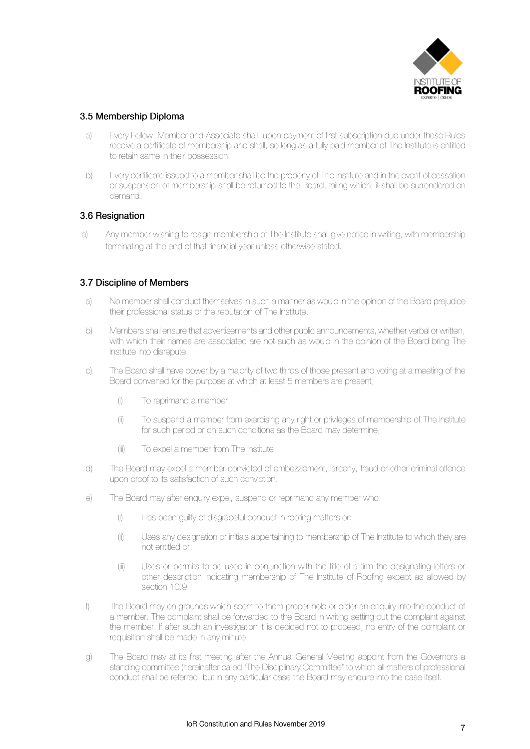

#### 3.5 Membership Diploma

- a) Every Fellow, Member and Associate shall, upon payment of first subscription due under these Rules receive a certificate of membership and shall, so long as a fully paid member of The Institute is entitled to retain same in their possession.
- b) Every certificate issued to a member shall be the property of The Institute and in the event of cessation or suspension of membership shall be returned to the Board, failing which; it shall be surrendered on demand.

#### 3.6 Resignation

a) Any member wishing to resign membership of The Institute shall give notice in writing, with membership terminating at the end of that financial year unless otherwise stated.

#### 3.7 Discipline of Members

- a) No member shall conduct themselves in such a manner as would in the opinion of the Board prejudice their professional status or the reputation of The Institute.
- b) Members shall ensure that advertisements and other public announcements, whether verbal or written, with which their names are associated are not such as would in the opinion of the Board bring The Institute into disrepute.
- c) The Board shall have power by a majority of two thirds of those present and voting at a meeting of the Board convened for the purpose at which at least 5 members are present,
	- (i) To reprimand a member,
	- (ii) To suspend a member from exercising any right or privileges of membership of The Institute for such period or on such conditions as the Board may determine,
	- (iii) To expel a member from The Institute.
- d) The Board may expel a member convicted of embezzlement, larceny, fraud or other criminal offence upon proof to its satisfaction of such conviction.
- e) The Board may after enquiry expel, suspend or reprimand any member who:
	- (i) Has been guilty of disgraceful conduct in roofing matters or:
	- (ii) Uses any designation or initials appertaining to membership of The Institute to which they are not entitled or:
	- (iii) Uses or permits to be used in conjunction with the title of a firm the designating letters or other description indicating membership of The Institute of Roofing except as allowed by section 10.9.
- f) The Board may on grounds which seem to them proper hold or order an enquiry into the conduct of a member. The complaint shall be forwarded to the Board in writing setting out the complaint against the member. If after such an investigation it is decided not to proceed, no entry of the complaint or requisition shall be made in any minute.
- g) The Board may at its first meeting after the Annual General Meeting appoint from the Governors a standing committee (hereinafter called "The Disciplinary Committee" to which all matters of professional conduct shall be referred, but in any particular case the Board may enquire into the case itself.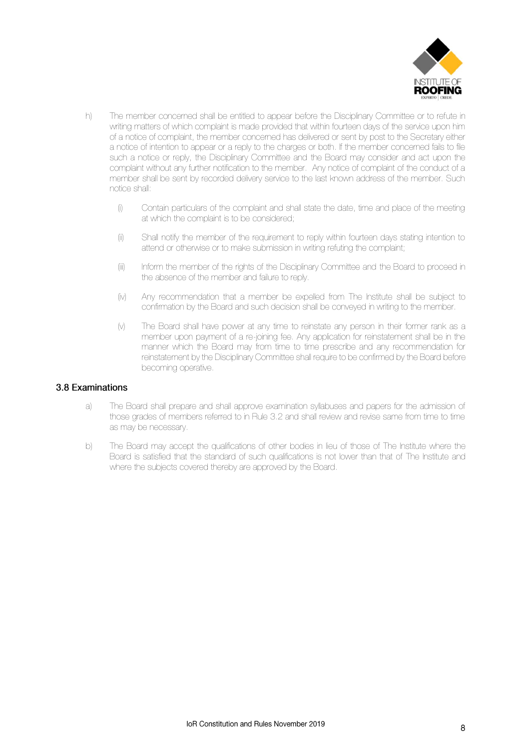

- h) The member concerned shall be entitled to appear before the Disciplinary Committee or to refute in writing matters of which complaint is made provided that within fourteen days of the service upon him of a notice of complaint, the member concerned has delivered or sent by post to the Secretary either a notice of intention to appear or a reply to the charges or both. If the member concerned fails to file such a notice or reply, the Disciplinary Committee and the Board may consider and act upon the complaint without any further notification to the member. Any notice of complaint of the conduct of a member shall be sent by recorded delivery service to the last known address of the member. Such notice shall:
	- (i) Contain particulars of the complaint and shall state the date, time and place of the meeting at which the complaint is to be considered;
	- (ii) Shall notify the member of the requirement to reply within fourteen days stating intention to attend or otherwise or to make submission in writing refuting the complaint;
	- (iii) Inform the member of the rights of the Disciplinary Committee and the Board to proceed in the absence of the member and failure to reply.
	- (iv) Any recommendation that a member be expelled from The Institute shall be subject to confirmation by the Board and such decision shall be conveyed in writing to the member.
	- (v) The Board shall have power at any time to reinstate any person in their former rank as a member upon payment of a re-joining fee. Any application for reinstatement shall be in the manner which the Board may from time to time prescribe and any recommendation for reinstatement by the Disciplinary Committee shall require to be confirmed by the Board before becoming operative.

#### 3.8 Examinations

- a) The Board shall prepare and shall approve examination syllabuses and papers for the admission of those grades of members referred to in Rule 3.2 and shall review and revise same from time to time as may be necessary.
- b) The Board may accept the qualifications of other bodies in lieu of those of The Institute where the Board is satisfied that the standard of such qualifications is not lower than that of The Institute and where the subjects covered thereby are approved by the Board.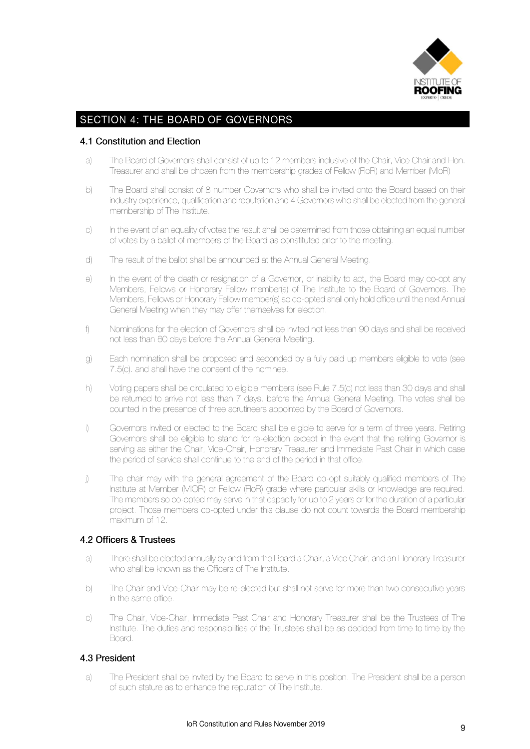

# **SECTION 4: THE BOARD OF GOVERNORS**

#### 4.1 Constitution and Election

- a) The Board of Governors shall consist of up to 12 members inclusive of the Chair, Vice Chair and Hon. Treasurer and shall be chosen from the membership grades of Fellow (FIoR) and Member (MIoR)
- b) The Board shall consist of 8 number Governors who shall be invited onto the Board based on their industry experience, qualification and reputation and 4 Governors who shall be elected from the general membership of The Institute.
- c) In the event of an equality of votes the result shall be determined from those obtaining an equal number of votes by a ballot of members of the Board as constituted prior to the meeting.
- d) The result of the ballot shall be announced at the Annual General Meeting.
- e) In the event of the death or resignation of a Governor, or inability to act, the Board may co-opt any Members, Fellows or Honorary Fellow member(s) of The Institute to the Board of Governors. The Members, Fellows or Honorary Fellow member(s) so co-opted shall only hold office until the next Annual General Meeting when they may offer themselves for election.
- f) Nominations for the election of Governors shall be invited not less than 90 days and shall be received not less than 60 days before the Annual General Meeting.
- g) Each nomination shall be proposed and seconded by a fully paid up members eligible to vote (see 7.5(c). and shall have the consent of the nominee.
- h) Voting papers shall be circulated to eligible members (see Rule 7.5(c) not less than 30 days and shall be returned to arrive not less than 7 days, before the Annual General Meeting. The votes shall be counted in the presence of three scrutineers appointed by the Board of Governors.
- i) Governors invited or elected to the Board shall be eligible to serve for a term of three years. Retiring Governors shall be eligible to stand for re-election except in the event that the retiring Governor is serving as either the Chair, Vice-Chair, Honorary Treasurer and Immediate Past Chair in which case the period of service shall continue to the end of the period in that office.
- j) The chair may with the general agreement of the Board co-opt suitably qualified members of The Institute at Member (MIOR) or Fellow (FIoR) grade where particular skills or knowledge are required. The members so co-opted may serve in that capacity for up to 2 years or for the duration of a particular project. Those members co-opted under this clause do not count towards the Board membership maximum of 12.

#### 4.2 Officers & Trustees

- a) There shall be elected annually by and from the Board a Chair, a Vice Chair, and an Honorary Treasurer who shall be known as the Officers of The Institute.
- b) The Chair and Vice-Chair may be re-elected but shall not serve for more than two consecutive years in the same office.
- c) The Chair, Vice-Chair, Immediate Past Chair and Honorary Treasurer shall be the Trustees of The Institute. The duties and responsibilities of the Trustees shall be as decided from time to time by the Board.

#### 4.3 President

a) The President shall be invited by the Board to serve in this position. The President shall be a person of such stature as to enhance the reputation of The Institute.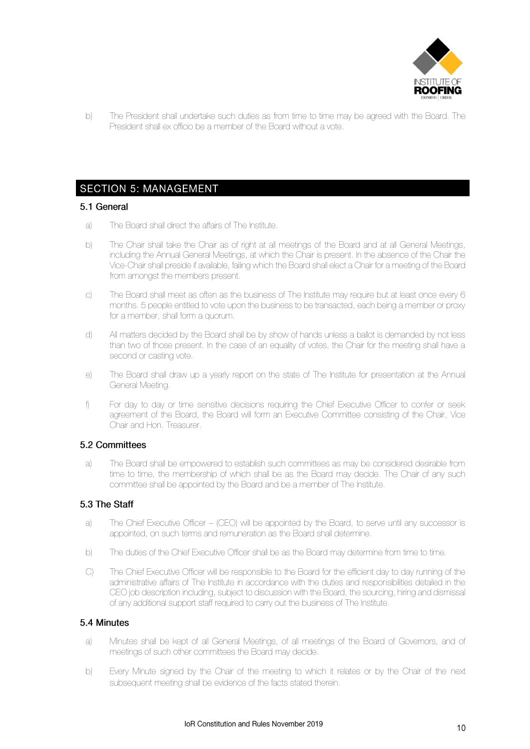

b) The President shall undertake such duties as from time to time may be agreed with the Board. The President shall ex officio be a member of the Board without a vote.

#### **SECTION 5: MANAGEMENT**

#### 5.1 General

- a) The Board shall direct the affairs of The Institute.
- b) The Chair shall take the Chair as of right at all meetings of the Board and at all General Meetings, including the Annual General Meetings, at which the Chair is present. In the absence of the Chair the Vice-Chair shall preside if available, failing which the Board shall elect a Chair for a meeting of the Board from amongst the members present.
- c) The Board shall meet as often as the business of The Institute may require but at least once every 6 months. 5 people entitled to vote upon the business to be transacted, each being a member or proxy for a member, shall form a quorum.
- d) All matters decided by the Board shall be by show of hands unless a ballot is demanded by not less than two of those present. In the case of an equality of votes, the Chair for the meeting shall have a second or casting vote.
- e) The Board shall draw up a yearly report on the state of The Institute for presentation at the Annual General Meeting.
- f) For day to day or time sensitive decisions requiring the Chief Executive Officer to confer or seek agreement of the Board, the Board will form an Executive Committee consisting of the Chair, Vice Chair and Hon. Treasurer

#### 5.2 Committees

a) The Board shall be empowered to establish such committees as may be considered desirable from time to time, the membership of which shall be as the Board may decide. The Chair of any such committee shall be appointed by the Board and be a member of The Institute.

#### 5.3 The Staff

- a) The Chief Executive Officer (CEO) will be appointed by the Board, to serve until any successor is appointed, on such terms and remuneration as the Board shall determine.
- b) The duties of the Chief Executive Officer shall be as the Board may determine from time to time.
- C) The Chief Executive Officer will be responsible to the Board for the efficient day to day running of the administrative affairs of The Institute in accordance with the duties and responsibilities detailed in the CEO job description including, subject to discussion with the Board, the sourcing, hiring and dismissal of any additional support staff required to carry out the business of The Institute.

#### 5.4 Minutes

- a) Minutes shall be kept of all General Meetings, of all meetings of the Board of Governors, and of meetings of such other committees the Board may decide.
- b) Every Minute signed by the Chair of the meeting to which it relates or by the Chair of the next subsequent meeting shall be evidence of the facts stated therein.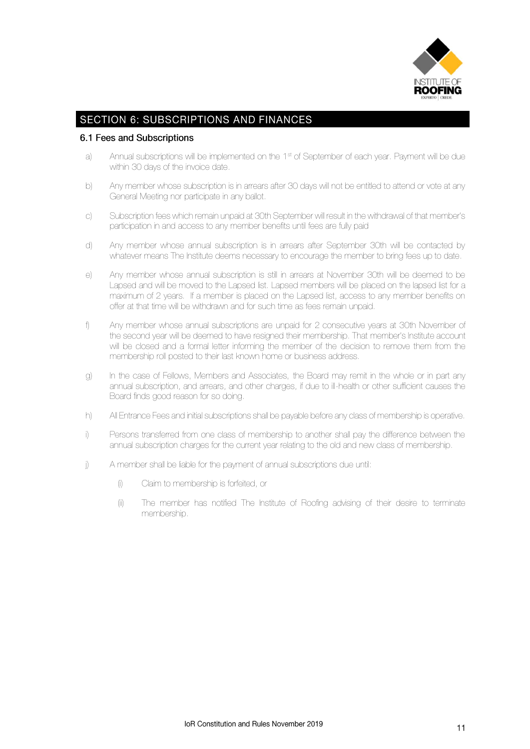

# **SECTION 6: SUBSCRIPTIONS AND FINANCES**

#### 6.1 Fees and Subscriptions

- a) Annual subscriptions will be implemented on the 1<sup>st</sup> of September of each year. Payment will be due within 30 days of the invoice date.
- b) Any member whose subscription is in arrears after 30 days will not be entitled to attend or vote at any General Meeting nor participate in any ballot.
- c) Subscription fees which remain unpaid at 30th September will result in the withdrawal of that member's participation in and access to any member benefits until fees are fully paid
- d) Any member whose annual subscription is in arrears after September 30th will be contacted by whatever means The Institute deems necessary to encourage the member to bring fees up to date.
- e) Any member whose annual subscription is still in arrears at November 30th will be deemed to be Lapsed and will be moved to the Lapsed list. Lapsed members will be placed on the lapsed list for a maximum of 2 years. If a member is placed on the Lapsed list, access to any member benefits on offer at that time will be withdrawn and for such time as fees remain unpaid.
- f) Any member whose annual subscriptions are unpaid for 2 consecutive years at 30th November of the second year will be deemed to have resigned their membership. That member's Institute account will be closed and a formal letter informing the member of the decision to remove them from the membership roll posted to their last known home or business address.
- g) In the case of Fellows, Members and Associates, the Board may remit in the whole or in part any annual subscription, and arrears, and other charges, if due to ill-health or other sufficient causes the Board finds good reason for so doing.
- h) All Entrance Fees and initial subscriptions shall be payable before any class of membership is operative.
- i) Persons transferred from one class of membership to another shall pay the difference between the annual subscription charges for the current year relating to the old and new class of membership.
- j) A member shall be liable for the payment of annual subscriptions due until:
	- (i) Claim to membership is forfeited, or
	- (ii) The member has notified The Institute of Roofing advising of their desire to terminate membership.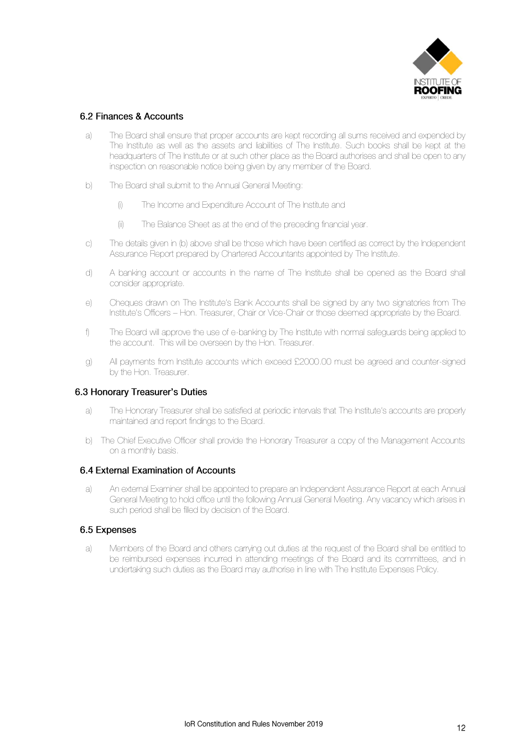

#### 6.2 Finances & Accounts

- a) The Board shall ensure that proper accounts are kept recording all sums received and expended by The Institute as well as the assets and liabilities of The Institute. Such books shall be kept at the headquarters of The Institute or at such other place as the Board authorises and shall be open to any inspection on reasonable notice being given by any member of the Board.
- b) The Board shall submit to the Annual General Meeting:
	- (i) The Income and Expenditure Account of The Institute and
	- (ii) The Balance Sheet as at the end of the preceding financial year.
- c) The details given in (b) above shall be those which have been certified as correct by the Independent Assurance Report prepared by Chartered Accountants appointed by The Institute.
- d) A banking account or accounts in the name of The Institute shall be opened as the Board shall consider appropriate.
- e) Cheques drawn on The Institute's Bank Accounts shall be signed by any two signatories from The Institute's Officers – Hon. Treasurer, Chair or Vice-Chair or those deemed appropriate by the Board.
- f) The Board will approve the use of e-banking by The Institute with normal safeguards being applied to the account. This will be overseen by the Hon. Treasurer.
- g) All payments from Institute accounts which exceed £2000.00 must be agreed and counter-signed by the Hon. Treasurer.

#### 6.3 Honorary Treasurer's Duties

- a) The Honorary Treasurer shall be satisfied at periodic intervals that The Institute's accounts are properly maintained and report findings to the Board.
- b) The Chief Executive Officer shall provide the Honorary Treasurer a copy of the Management Accounts on a monthly basis.

#### 6.4 External Examination of Accounts

a) An external Examiner shall be appointed to prepare an Independent Assurance Report at each Annual General Meeting to hold office until the following Annual General Meeting. Any vacancy which arises in such period shall be filled by decision of the Board.

#### 6.5 Expenses

a) Members of the Board and others carrying out duties at the request of the Board shall be entitled to be reimbursed expenses incurred in attending meetings of the Board and its committees, and in undertaking such duties as the Board may authorise in line with The Institute Expenses Policy.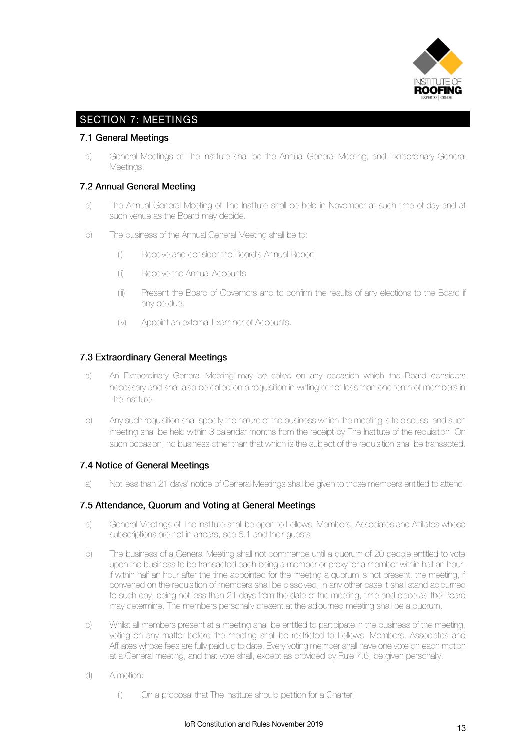

# **SECTION 7: MEETINGS**

#### 7.1 General Meetings

a) General Meetings of The Institute shall be the Annual General Meeting, and Extraordinary General Meetings.

#### 7.2 Annual General Meeting

- a) The Annual General Meeting of The Institute shall be held in November at such time of day and at such venue as the Board may decide.
- b) The business of the Annual General Meeting shall be to:
	- (i) Receive and consider the Board's Annual Report
	- (ii) Receive the Annual Accounts.
	- (iii) Present the Board of Governors and to confirm the results of any elections to the Board if any be due.
	- (iv) Appoint an external Examiner of Accounts.

#### 7.3 Extraordinary General Meetings

- a) An Extraordinary General Meeting may be called on any occasion which the Board considers necessary and shall also be called on a requisition in writing of not less than one tenth of members in The Institute.
- b) Any such requisition shall specify the nature of the business which the meeting is to discuss, and such meeting shall be held within 3 calendar months from the receipt by The Institute of the requisition. On such occasion, no business other than that which is the subject of the requisition shall be transacted.

#### 7.4 Notice of General Meetings

a) Not less than 21 days' notice of General Meetings shall be given to those members entitled to attend.

#### 7.5 Attendance, Quorum and Voting at General Meetings

- a) General Meetings of The Institute shall be open to Fellows, Members, Associates and Affiliates whose subscriptions are not in arrears, see 6.1 and their guests
- b) The business of a General Meeting shall not commence until a quorum of 20 people entitled to vote upon the business to be transacted each being a member or proxy for a member within half an hour. If within half an hour after the time appointed for the meeting a quorum is not present, the meeting, if convened on the requisition of members shall be dissolved; in any other case it shall stand adjourned to such day, being not less than 21 days from the date of the meeting, time and place as the Board may determine. The members personally present at the adjourned meeting shall be a quorum.
- c) Whilst all members present at a meeting shall be entitled to participate in the business of the meeting, voting on any matter before the meeting shall be restricted to Fellows, Members, Associates and Affiliates whose fees are fully paid up to date. Every voting member shall have one vote on each motion at a General meeting, and that vote shall, except as provided by Rule 7.6, be given personally.
- d) A motion:
	- (i) On a proposal that The Institute should petition for a Charter;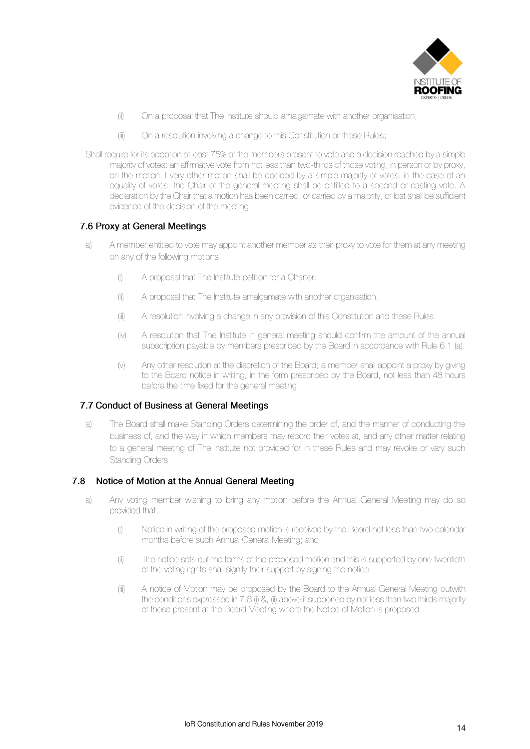

- (ii) On a proposal that The Institute should amalgamate with another organisation;
- (iii) On a resolution involving a change to this Constitution or these Rules;
- Shall require for its adoption at least 75% of the members present to vote and a decision reached by a simple majority of votes: an affirmative vote from not less than two-thirds of those voting, in person or by proxy, on the motion. Every other motion shall be decided by a simple majority of votes; in the case of an equality of votes, the Chair of the general meeting shall be entitled to a second or casting vote. A declaration by the Chair that a motion has been carried, or carried by a majority, or lost shall be sufficient evidence of the decision of the meeting.

#### 7.6 Proxy at General Meetings

- a) A member entitled to vote may appoint another member as their proxy to vote for them at any meeting on any of the following motions:
	- (i) A proposal that The Institute petition for a Charter;
	- (ii) A proposal that The Institute amalgamate with another organisation.
	- (iii) A resolution involving a change in any provision of this Constitution and these Rules.
	- (iv) A resolution that The Institute in general meeting should confirm the amount of the annual subscription payable by members prescribed by the Board in accordance with Rule 6.1 (a).
	- (v) Any other resolution at the discretion of the Board; a member shall appoint a proxy by giving to the Board notice in writing, in the form prescribed by the Board, not less than 48 hours before the time fixed for the general meeting.

#### 7.7 Conduct of Business at General Meetings

a) The Board shall make Standing Orders determining the order of, and the manner of conducting the business of, and the way in which members may record their votes at, and any other matter relating to a general meeting of The Institute not provided for in these Rules and may revoke or vary such Standing Orders.

#### 7.8 Notice of Motion at the Annual General Meeting

- a) Any voting member wishing to bring any motion before the Annual General Meeting may do so provided that:
	- (i) Notice in writing of the proposed motion is received by the Board not less than two calendar months before such Annual General Meeting; and
	- (ii) The notice sets out the terms of the proposed motion and this is supported by one twentieth of the voting rights shall signify their support by signing the notice.
	- (iii) A notice of Motion may be proposed by the Board to the Annual General Meeting outwith the conditions expressed in 7.8 (i) &, (ii) above if supported by not less than two thirds majority of those present at the Board Meeting where the Notice of Motion is proposed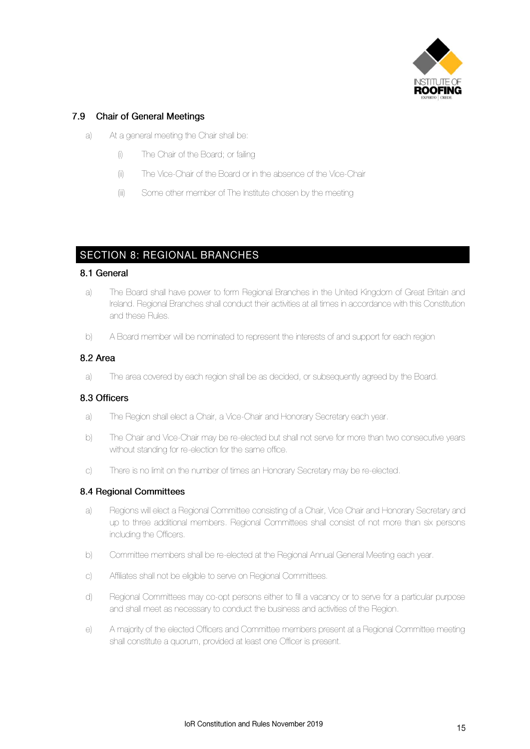

#### 7.9 Chair of General Meetings

- a) At a general meeting the Chair shall be:
	- (i) The Chair of the Board; or failing
	- (ii) The Vice-Chair of the Board or in the absence of the Vice-Chair
	- (iii) Some other member of The Institute chosen by the meeting

## **SECTION 8: REGIONAL BRANCHES**

#### 8.1 General

- a) The Board shall have power to form Regional Branches in the United Kingdom of Great Britain and Ireland. Regional Branches shall conduct their activities at all times in accordance with this Constitution and these Rules.
- b) A Board member will be nominated to represent the interests of and support for each region

#### 8.2 Area

a) The area covered by each region shall be as decided, or subsequently agreed by the Board.

#### 8.3 Officers

- a) The Region shall elect a Chair, a Vice-Chair and Honorary Secretary each year.
- b) The Chair and Vice-Chair may be re-elected but shall not serve for more than two consecutive years without standing for re-election for the same office.
- c) There is no limit on the number of times an Honorary Secretary may be re-elected.

#### 8.4 Regional Committees

- a) Regions will elect a Regional Committee consisting of a Chair, Vice Chair and Honorary Secretary and up to three additional members. Regional Committees shall consist of not more than six persons including the Officers.
- b) Committee members shall be re-elected at the Regional Annual General Meeting each year.
- c) Affiliates shall not be eligible to serve on Regional Committees.
- d) Regional Committees may co-opt persons either to fill a vacancy or to serve for a particular purpose and shall meet as necessary to conduct the business and activities of the Region.
- e) A majority of the elected Officers and Committee members present at a Regional Committee meeting shall constitute a quorum, provided at least one Officer is present.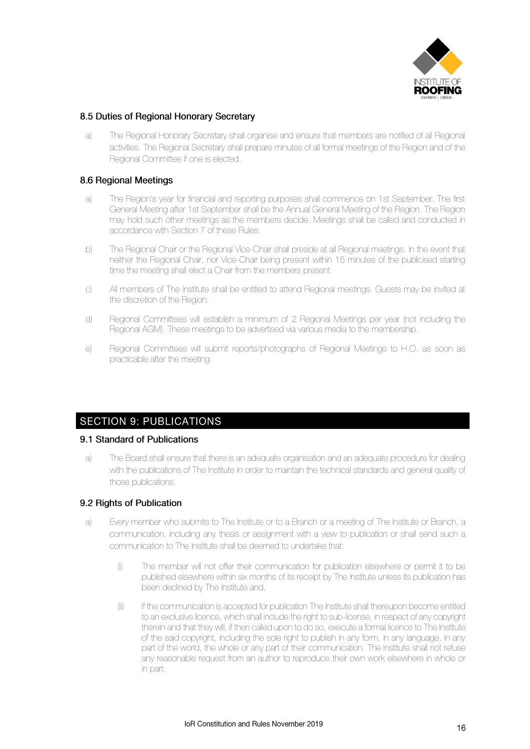

#### 8.5 Duties of Regional Honorary Secretary

a) The Regional Honorary Secretary shall organise and ensure that members are notified of all Regional activities. The Regional Secretary shall prepare minutes of all formal meetings of the Region and of the Regional Committee if one is elected.

#### 8.6 Regional Meetings

- a) The Region's year for financial and reporting purposes shall commence on 1st September. The first General Meeting after 1st September shall be the Annual General Meeting of the Region. The Region may hold such other meetings as the members decide. Meetings shall be called and conducted in accordance with Section 7 of these Rules.
- b) The Regional Chair or the Regional Vice-Chair shall preside at all Regional meetings. In the event that neither the Regional Chair, nor Vice-Chair being present within 15 minutes of the publicised starting time the meeting shall elect a Chair from the members present.
- c) All members of The Institute shall be entitled to attend Regional meetings. Guests may be invited at the discretion of the Region.
- d) Regional Committees will establish a minimum of 2 Regional Meetings per year (not including the Regional AGM). These meetings to be advertised via various media to the membership.
- e) Regional Committees will submit reports/photographs of Regional Meetings to H.O. as soon as practicable after the meeting.

### **SECTION 9: PUBLICATIONS**

#### 9.1 Standard of Publications

a) The Board shall ensure that there is an adequate organisation and an adequate procedure for dealing with the publications of The Institute in order to maintain the technical standards and general quality of those publications.

#### 9.2 Rights of Publication

- a) Every member who submits to The Institute or to a Branch or a meeting of The Institute or Branch, a communication, including any thesis or assignment with a view to publication or shall send such a communication to The Institute shall be deemed to undertake that:
	- (i) The member will not offer their communication for publication elsewhere or permit it to be published elsewhere within six months of its receipt by The Institute unless its publication has been declined by The Institute and,
	- (ii) If the communication is accepted for publication The Institute shall thereupon become entitled to an exclusive licence, which shall include the right to sub-license, in respect of any copyright therein and that they will, if then called upon to do so, execute a formal licence to The Institute of the said copyright, including the sole right to publish in any form, in any language, in any part of the world, the whole or any part of their communication. The Institute shall not refuse any reasonable request from an author to reproduce their own work elsewhere in whole or in part.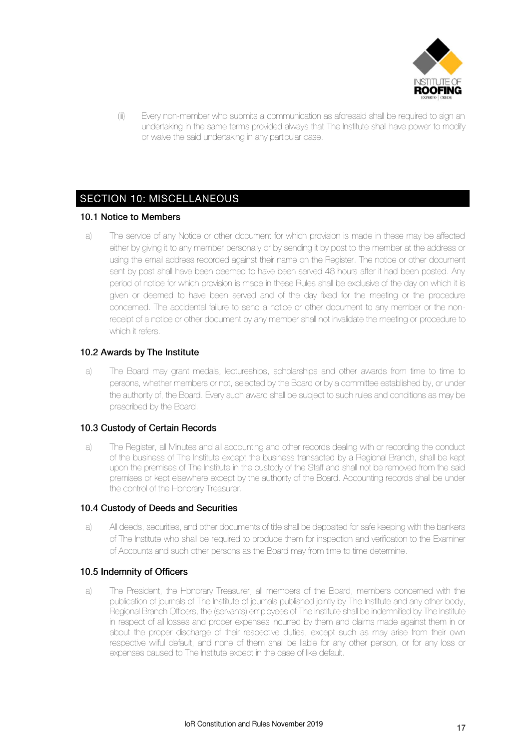

(iii) Every non-member who submits a communication as aforesaid shall be required to sign an undertaking in the same terms provided always that The Institute shall have power to modify or waive the said undertaking in any particular case.

# **SECTION 10: MISCELLANEOUS**

#### 10.1 Notice to Members

a) The service of any Notice or other document for which provision is made in these may be affected either by giving it to any member personally or by sending it by post to the member at the address or using the email address recorded against their name on the Register. The notice or other document sent by post shall have been deemed to have been served 48 hours after it had been posted. Any period of notice for which provision is made in these Rules shall be exclusive of the day on which it is given or deemed to have been served and of the day fixed for the meeting or the procedure concerned. The accidental failure to send a notice or other document to any member or the nonreceipt of a notice or other document by any member shall not invalidate the meeting or procedure to which it refers.

#### 10.2 Awards by The Institute

a) The Board may grant medals, lectureships, scholarships and other awards from time to time to persons, whether members or not, selected by the Board or by a committee established by, or under the authority of, the Board. Every such award shall be subject to such rules and conditions as may be prescribed by the Board.

#### 10.3 Custody of Certain Records

a) The Register, all Minutes and all accounting and other records dealing with or recording the conduct of the business of The Institute except the business transacted by a Regional Branch, shall be kept upon the premises of The Institute in the custody of the Staff and shall not be removed from the said premises or kept elsewhere except by the authority of the Board. Accounting records shall be under the control of the Honorary Treasurer.

#### 10.4 Custody of Deeds and Securities

a) All deeds, securities, and other documents of title shall be deposited for safe keeping with the bankers of The Institute who shall be required to produce them for inspection and verification to the Examiner of Accounts and such other persons as the Board may from time to time determine.

#### 10.5 Indemnity of Officers

a) The President, the Honorary Treasurer, all members of the Board, members concerned with the publication of journals of The Institute of journals published jointly by The Institute and any other body, Regional Branch Officers, the (servants) employees of The Institute shall be indemnified by The Institute in respect of all losses and proper expenses incurred by them and claims made against them in or about the proper discharge of their respective duties, except such as may arise from their own respective wilful default, and none of them shall be liable for any other person, or for any loss or expenses caused to The Institute except in the case of like default.